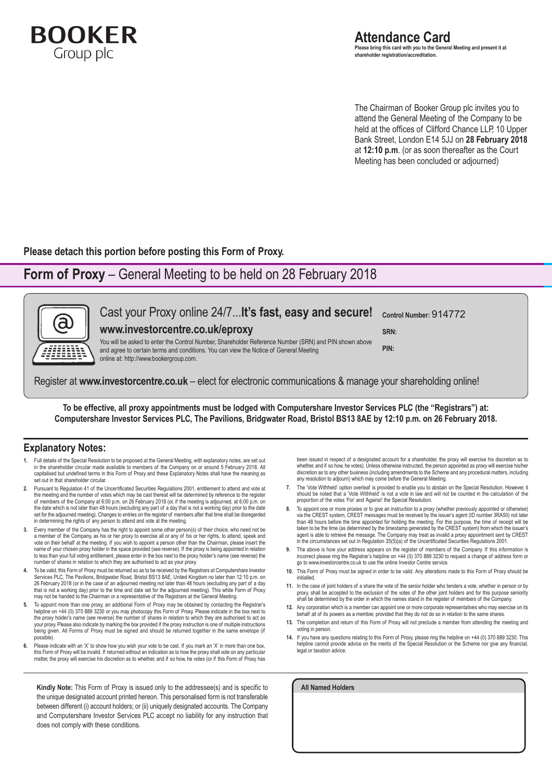

The Chairman of Booker Group plc invites you to attend the General Meeting of the Company to be held at the offices of Clifford Chance LLP, 10 Upper Bank Street, London E14 5JJ on **28 February 2018** at **12:10 p.m**. (or as soon thereafter as the Court Meeting has been concluded or adjourned)

**Please detach this portion before posting this Form of Proxy.**

## **Form of Proxy** – General Meeting to be held on 28 February 2018



To be effective, all proxy appointments must be lodged with Computershare Investor Services PLC (the "Registrars") at: Computershare Investor Services PLC, The Pavilions, Bridgwater Road, Bristol BS13 8AE by 12:10 p.m. on 26 February 2018.

## **Explanatory Notes:**

- **1.** Full details of the Special Resolution to be proposed at the General Meeting, with explanatory notes, are set out in the shareholder circular made available to members of the Company on or around 5 February 2018. All capitalised but undefined terms in this Form of Proxy and these Explanatory Notes shall have the meaning as set out in that shareholder circular.
- **2.** Pursuant to Regulation 41 of the Uncertificated Securities Regulations 2001, entitlement to attend and vote at the meeting and the number of votes which may be cast thereat will be determined by reference to the register of members of the Company at 6:00 p.m. on 26 February 2018 (or, if the meeting is adjourned, at 6:00 p.m. on the date which is not later than 48 hours (excluding any part of a day that is not a working day) prior to the date set for the adjourned meeting). Changes to entries on the register of members after that time shall be disregarded in determining the rights of any person to attend and vote at the meeting.
- **3.** Every member of the Company has the right to appoint some other person(s) of their choice, who need not be a member of the Company, as his or her proxy to exercise all or any of his or her rights, to attend, speak and vote on their behalf at the meeting. If you wish to appoint a person other than the Chairman, please insert the name of your chosen proxy holder in the space provided (see reverse). If the proxy is being appointed in relation to less than your full voting entitlement, please enter in the box next to the proxy holder's name (see reverse) the number of shares in relation to which they are authorised to act as your proxy.
- **4.** To be valid, this Form of Proxy must be returned so as to be received by the Registrars at Computershare Investor Services PLC, The Pavilions, Bridgwater Road, Bristol BS13 8AE, United Kingdom no later than 12:10 p.m. on 26 February 2018 (or in the case of an adjourned meeting not later than 48 hours (excluding any part of a day that is not a working day) prior to the time and date set for the adjourned meeting). This white Form of Proxy may not be handed to the Chairman or a representative of the Registrars at the General Meeting.
- **5.** To appoint more than one proxy, an additional Form of Proxy may be obtained by contacting the Registrar's helpline on +44 (0) 370 889 3230 or you may photocopy this Form of Proxy. Please indicate in the box next to the proxy holder's name (see reverse) the number of shares in relation to which they are authorised to act as your proxy. Please also indicate by marking the box provided if the proxy instruction is one of multiple instructions being given. All Forms of Proxy must be signed and should be returned together in the same envelope (if possible).
- **6.** Please indicate with an 'X' to show how you wish your vote to be cast. If you mark an 'X' in more than one box, this Form of Proxy will be invalid. If returned without an indication as to how the proxy shall vote on any particular<br>matter, the proxy will exercise his discretion as to whether, and if so how, he votes (or if this Form

**Kindly Note:** This Form of Proxy is issued only to the addressee(s) and is specific to the unique designated account printed hereon. This personalised form is not transferable between different (i) account holders; or (ii) uniquely designated accounts. The Company and Computershare Investor Services PLC accept no liability for any instruction that does not comply with these conditions.

been issued in respect of a designated account for a shareholder, the proxy will exercise his discretion as to<br>whether, and if so how, he votes). Unless otherwise instructed, the person appointed as proxy will exercise his discretion as to any other business (including amendments to the Scheme and any procedural matters, including any resolution to adjourn) which may come before the General Meeting.

- **7.** The 'Vote Withheld' option overleaf is provided to enable you to abstain on the Special Resolution. However, it should be noted that a 'Vote Withheld' is not a vote in law and will not be counted in the calculation of the proportion of the votes 'For' and 'Against' the Special Resolution.
- 8. To appoint one or more proxies or to give an instruction to a proxy (whether previously appointed or otherwise)<br>via the CREST system, CREST messages must be received by the issuer's agent (ID number 3RA50) not later than 48 hours before the time appointed for holding the meeting. For this purpose, the time of receipt will be taken to be the time (as determined by the timestamp generated by the CREST system) from which the issuer's agent is able to retrieve the message. The Company may treat as invalid a proxy appointment sent by CREST in the circumstances set out in Regulation 35(5)(a) of the Uncertificated Securities Regulations 2001.
- **9.** The above is how your address appears on the register of members of the Company. If this information is incorrect please ring the Registrar's helpline on +44 (0) 370 889 3230 to request a change of address form or go to www.investorcentre.co.uk to use the online Investor Centre service.
- **10.** This Form of Proxy must be signed in order to be valid. Any alterations made to this Form of Proxy should be initialled.
- **11.** In the case of joint holders of a share the vote of the senior holder who tenders a vote, whether in person or by proxy, shall be accepted to the exclusion of the votes of the other joint holders and for this purpose seniority shall be determined by the order in which the names stand in the register of members of the Company.
- **12.** Any corporation which is a member can appoint one or more corporate representatives who may exercise on its behalf all of its powers as a member, provided that they do not do so in relation to the same shares.
- **13.** The completion and return of this Form of Proxy will not preclude a member from attending the meeting and voting in person.
- **14.** If you have any questions relating to this Form of Proxy, please ring the helpline on +44 (0) 370 889 3230. This helpline cannot provide advice on the merits of the Special Resolution or the Scheme nor give any financial, legal or taxation advice

**All Named Holders**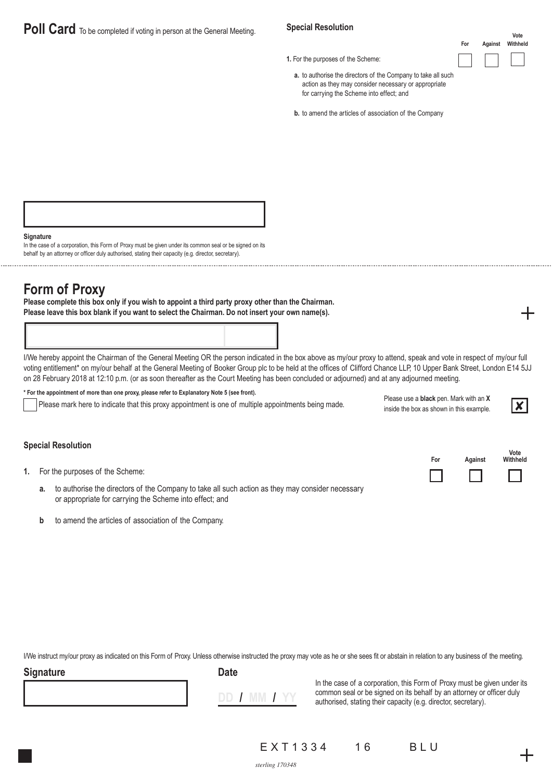# **Poll Card** To be completed if voting in person at the General Meeting.

### **Special Resolution**

**1.** For the purposes of the Scheme:

**Vote For Against Withheld**

- **a.** to authorise the directors of the Company to take all such action as they may consider necessary or appropriate for carrying the Scheme into effect; and
- **b.** to amend the articles of association of the Company

**Signature**

In the case of a corporation, this Form of Proxy must be given under its common seal or be signed on its behalf by an attorney or officer duly authorised, stating their capacity (e.g. director, secretary).

# **Form of Proxy**

**Please complete this box only if you wish to appoint a third party proxy other than the Chairman. Please leave this box blank if you want to select the Chairman. Do not insert your own name(s).**

I/We hereby appoint the Chairman of the General Meeting OR the person indicated in the box above as my/our proxy to attend, speak and vote in respect of my/our full voting entitlement\* on my/our behalf at the General Meeting of Booker Group plc to be held at the offices of Clifford Chance LLP, 10 Upper Bank Street, London E14 5JJ on 28 February 2018 at 12:10 p.m. (or as soon thereafter as the Court Meeting has been concluded or adjourned) and at any adjourned meeting.

**\* For the appointment of more than one proxy, please refer to Explanatory Note 5 (see front).**

Please mark here to indicate that this proxy appointment is one of multiple appointments being made.

| Please use a <b>black</b> pen. Mark with an X |                         |
|-----------------------------------------------|-------------------------|
| inside the box as shown in this example.      | $\overline{\mathbf{x}}$ |

**For Against**

|--|

**Vote Withheld**

### **Special Resolution**

| 1. |  |  |  |  |  | For the purposes of the Scheme: |
|----|--|--|--|--|--|---------------------------------|
|----|--|--|--|--|--|---------------------------------|

- **a.** to authorise the directors of the Company to take all such action as they may consider necessary or appropriate for carrying the Scheme into effect; and
- **b** to amend the articles of association of the Company.

I/We instruct my/our proxy as indicated on this Form of Proxy. Unless otherwise instructed the proxy may vote as he or she sees fit or abstain in relation to any business of the meeting.

### **Signature Date**



In the case of a corporation, this Form of Proxy must be given under its common seal or be signed on its behalf by an attorney or officer duly authorised, stating their capacity (e.g. director, secretary).

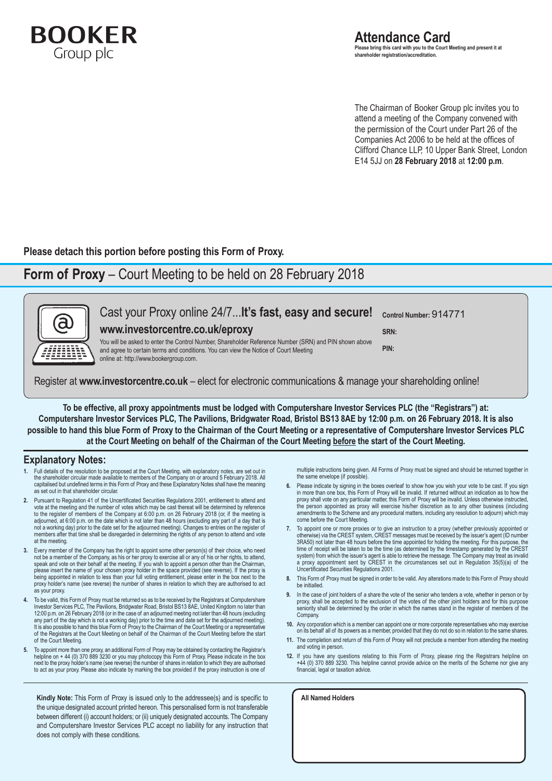

The Chairman of Booker Group plc invites you to attend a meeting of the Company convened with the permission of the Court under Part 26 of the Companies Act 2006 to be held at the offices of Clifford Chance LLP, 10 Upper Bank Street, London E14 5JJ on **28 February 2018** at **12:00 p.m**.

**Please detach this portion before posting this Form of Proxy.**

## **Form of Proxy** – Court Meeting to be held on 28 February 2018



Register at **www.investorcentre.co.uk** – elect for electronic communications & manage your shareholding online!

To be effective, all proxy appointments must be lodged with Computershare Investor Services PLC (the "Registrars") at: Computershare Investor Services PLC, The Pavilions, Bridgwater Road, Bristol BS13 8AE by 12:00 p.m. on 26 February 2018. It is also possible to hand this blue Form of Proxy to the Chairman of the Court Meeting or a representative of Computershare Investor Services PLC at the Court Meeting on behalf of the Chairman of the Court Meeting before the start of the Court Meeting.

### **Explanatory Notes:**

- **1.** Full details of the resolution to be proposed at the Court Meeting, with explanatory notes, are set out in the shareholder circular made available to members of the Company on or around 5 February 2018. All capitalised but undefined terms in this Form of Proxy and these Explanatory Notes shall have the meaning capitalised but undefined terms in this Form of Proxy and these Explanatory Notes shall have the meaning as set out in that shareholder circular.
- **2.** Pursuant to Regulation 41 of the Uncertificated Securities Regulations 2001, entitlement to attend and vote at the meeting and the number of votes which may be cast thereat will be determined by reference to the register of members of the Company at 6:00 p.m. on 26 February 2018 (or, if the meeting is adjourned, at 6:00 p.m. on the date which is not later than 48 hours (excluding any part of a day that is not a working day) prior to the date set for the adjourned meeting). Changes to entries on the register of members after that time shall be disregarded in determining the rights of any person to attend and vote at the meeting.
- **3.** Every member of the Company has the right to appoint some other person(s) of their choice, who need not be a member of the Company, as his or her proxy to exercise all or any of his or her rights, to attend, speak and vote on their behalf at the meeting. If you wish to appoint a person other than the Chairman, please insert the name of your chosen proxy holder in the space provided (see reverse). If the proxy is being appointed in relation to less than your full voting entitlement, please enter in the box next to the proxy holder's name (see reverse) the number of shares in relation to which they are authorised to act as your proxy.
- **4.** To be valid, this Form of Proxy must be returned so as to be received by the Registrars at Computershare Investor Services PLC, The Pavilions, Bridgwater Road, Bristol BS13 8AE, United Kingdom no later than 12:00 p.m. on 26 February 2018 (or in the case of an adjourned meeting not later than 48 hours (excluding any part of the day which is not a working day) prior to the time and date set for the adjourned meeting). It is also possible to hand this blue Form of Proxy to the Chairman of the Court Meeting or a representative of the Registrars at the Court Meeting on behalf of the Chairman of the Court Meeting before the start of the Court Meeting.
- **5.** To appoint more than one proxy, an additional Form of Proxy may be obtained by contacting the Registrar's helpline on + 44 (0) 370 889 3230 or you may photocopy this Form of Proxy. Please indicate in the box next to the proxy holder's name (see reverse) the number of shares in relation to which they are authorised to act as your proxy. Please also indicate by marking the box provided if the proxy instruction is one of

**Kindly Note:** This Form of Proxy is issued only to the addressee(s) and is specific to the unique designated account printed hereon. This personalised form is not transferable between different (i) account holders; or (ii) uniquely designated accounts. The Company and Computershare Investor Services PLC accept no liability for any instruction that does not comply with these conditions.

multiple instructions being given. All Forms of Proxy must be signed and should be returned together in the same envelope (if possible).

- **6.** Please indicate by signing in the boxes overleaf to show how you wish your vote to be cast. If you sign in more than one box, this Form of Proxy will be invalid. If returned without an indication as to how the proxy shall vote on any particular matter, this Form of Proxy will be invalid. Unless otherwise instructed, the person appointed as proxy will exercise his/her discretion as to any other business (including amendments to the Scheme and any procedural matters, including any resolution to adjourn) which may come before the Court Meeting.
- **7.** To appoint one or more proxies or to give an instruction to a proxy (whether previously appointed or otherwise) via the CREST system, CREST messages must be received by the issuer's agent (ID number 3RA50) not later than 48 hours before the time appointed for holding the meeting. For this purpose, the time of receipt will be taken to be the time (as determined by the timestamp generated by the CREST system) from which the issuer's agent is able to retrieve the message. The Company may treat as invalid a proxy appointment sent by CREST in the circumstances set out in Regulation 35(5)(a) of the Uncertificated Securities Regulations 2001.
- **8.** This Form of Proxy must be signed in order to be valid. Any alterations made to this Form of Proxy should be initialled.
- **9.** In the case of joint holders of a share the vote of the senior who tenders a vote, whether in person or by proxy, shall be accepted to the exclusion of the votes of the other joint holders and for this purpose seniority shall be determined by the order in which the names stand in the register of members of the Company.
- **10.** Any corporation which is a member can appoint one or more corporate representatives who may exercise on its behalf all of its powers as a member, provided that they do not do so in relation to the same shares.
- **11.** The completion and return of this Form of Proxy will not preclude a member from attending the meeting and voting in person.
- **12.** If you have any questions relating to this Form of Proxy, please ring the Registrars helpline on +44 (0) 370 889 3230. This helpline cannot provide advice on the merits of the Scheme nor give any financial, legal or taxation advice.

**All Named Holders**